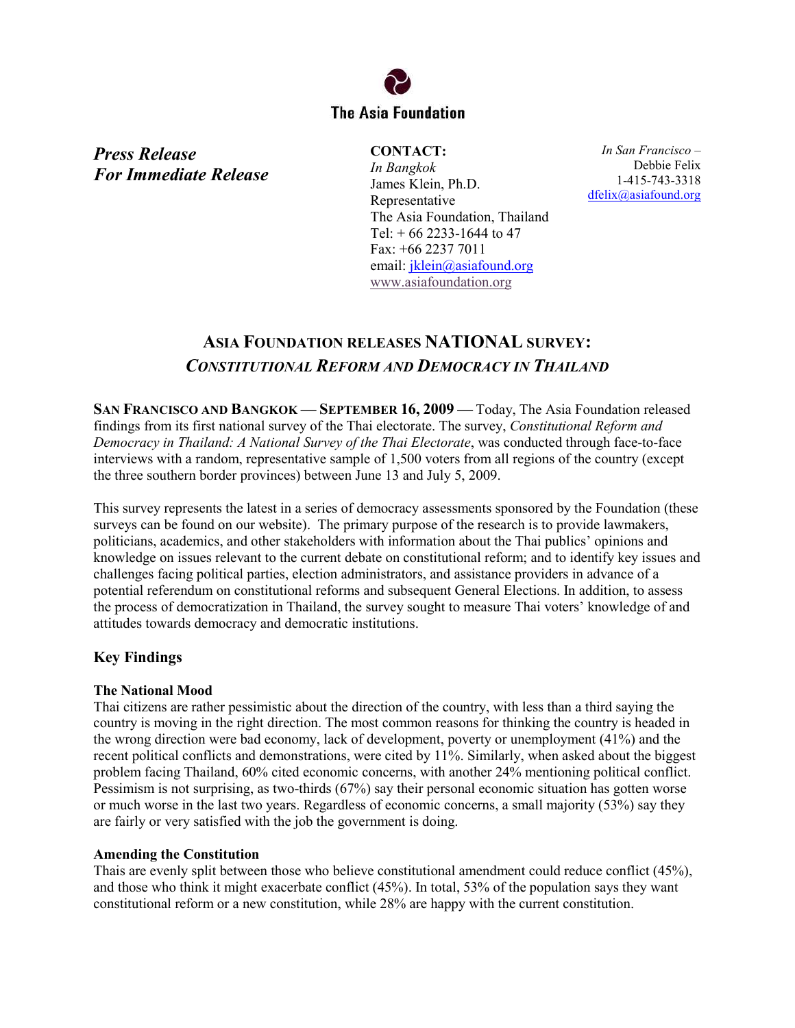

*Press Release For Immediate Release*  **CONTACT:**  *In Bangkok*  James Klein, Ph.D. Representative The Asia Foundation, Thailand Tel:  $+ 66$  2233-1644 to 47 Fax: +66 2237 7011 email: [jklein@asiafound.org](mailto:jklein@asiafound.org) [www.asiafoundation.org](http://www.asiafoundation.org/)

*In San Francisco –*  Debbie Felix 1-415-743-3318 [dfelix@asiafound.org](mailto:dfelix@asiafound.org)

# **ASIA FOUNDATION RELEASES NATIONAL SURVEY:**  *CONSTITUTIONAL REFORM AND DEMOCRACY IN THAILAND*

**SAN FRANCISCO AND BANGKOK — SEPTEMBER 16, 2009 —** Today, The Asia Foundation released findings from its first national survey of the Thai electorate. The survey, *Constitutional Reform and Democracy in Thailand: A National Survey of the Thai Electorate*, was conducted through face-to-face interviews with a random, representative sample of 1,500 voters from all regions of the country (except the three southern border provinces) between June 13 and July 5, 2009.

This survey represents the latest in a series of democracy assessments sponsored by the Foundation (these surveys can be found on our website). The primary purpose of the research is to provide lawmakers, politicians, academics, and other stakeholders with information about the Thai publics' opinions and knowledge on issues relevant to the current debate on constitutional reform; and to identify key issues and challenges facing political parties, election administrators, and assistance providers in advance of a potential referendum on constitutional reforms and subsequent General Elections. In addition, to assess the process of democratization in Thailand, the survey sought to measure Thai voters' knowledge of and attitudes towards democracy and democratic institutions.

# **Key Findings**

## **The National Mood**

Thai citizens are rather pessimistic about the direction of the country, with less than a third saying the country is moving in the right direction. The most common reasons for thinking the country is headed in the wrong direction were bad economy, lack of development, poverty or unemployment (41%) and the recent political conflicts and demonstrations, were cited by 11%. Similarly, when asked about the biggest problem facing Thailand, 60% cited economic concerns, with another 24% mentioning political conflict. Pessimism is not surprising, as two-thirds (67%) say their personal economic situation has gotten worse or much worse in the last two years. Regardless of economic concerns, a small majority (53%) say they are fairly or very satisfied with the job the government is doing.

#### **Amending the Constitution**

Thais are evenly split between those who believe constitutional amendment could reduce conflict (45%), and those who think it might exacerbate conflict (45%). In total, 53% of the population says they want constitutional reform or a new constitution, while 28% are happy with the current constitution.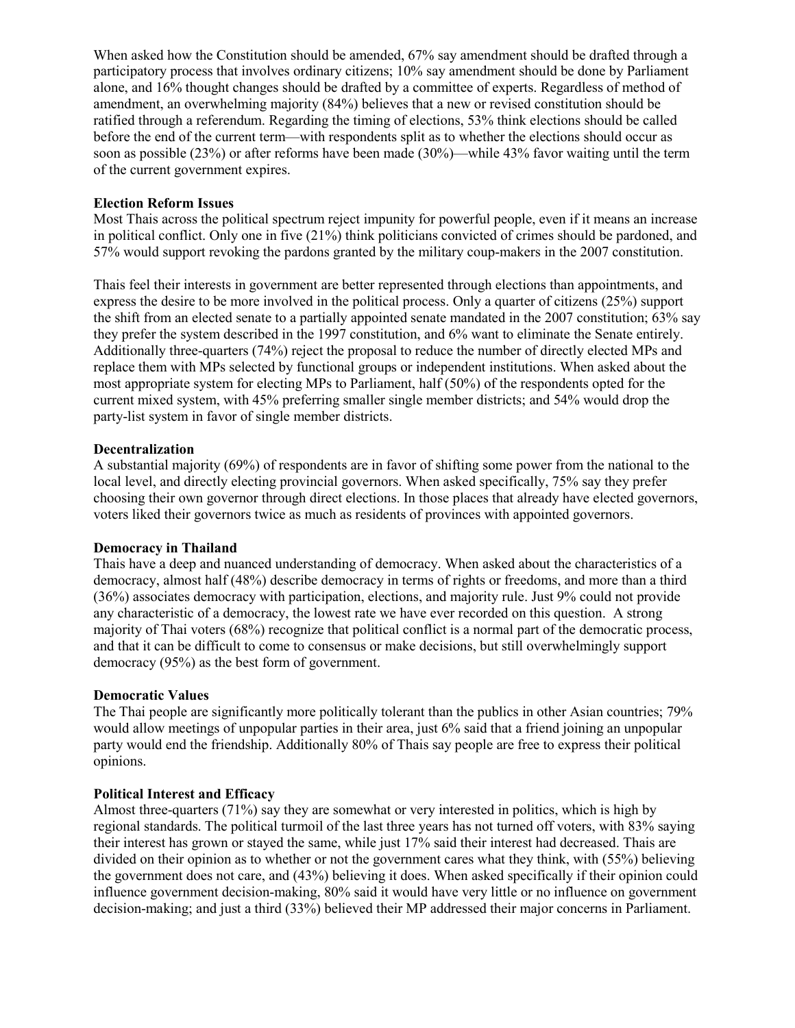When asked how the Constitution should be amended, 67% say amendment should be drafted through a participatory process that involves ordinary citizens; 10% say amendment should be done by Parliament alone, and 16% thought changes should be drafted by a committee of experts. Regardless of method of amendment, an overwhelming majority (84%) believes that a new or revised constitution should be ratified through a referendum. Regarding the timing of elections, 53% think elections should be called before the end of the current term—with respondents split as to whether the elections should occur as soon as possible (23%) or after reforms have been made (30%)—while 43% favor waiting until the term of the current government expires.

#### **Election Reform Issues**

Most Thais across the political spectrum reject impunity for powerful people, even if it means an increase in political conflict. Only one in five (21%) think politicians convicted of crimes should be pardoned, and 57% would support revoking the pardons granted by the military coup-makers in the 2007 constitution.

Thais feel their interests in government are better represented through elections than appointments, and express the desire to be more involved in the political process. Only a quarter of citizens (25%) support the shift from an elected senate to a partially appointed senate mandated in the 2007 constitution; 63% say they prefer the system described in the 1997 constitution, and 6% want to eliminate the Senate entirely. Additionally three-quarters (74%) reject the proposal to reduce the number of directly elected MPs and replace them with MPs selected by functional groups or independent institutions. When asked about the most appropriate system for electing MPs to Parliament, half (50%) of the respondents opted for the current mixed system, with 45% preferring smaller single member districts; and 54% would drop the party-list system in favor of single member districts.

### **Decentralization**

A substantial majority (69%) of respondents are in favor of shifting some power from the national to the local level, and directly electing provincial governors. When asked specifically, 75% say they prefer choosing their own governor through direct elections. In those places that already have elected governors, voters liked their governors twice as much as residents of provinces with appointed governors.

#### **Democracy in Thailand**

Thais have a deep and nuanced understanding of democracy. When asked about the characteristics of a democracy, almost half (48%) describe democracy in terms of rights or freedoms, and more than a third (36%) associates democracy with participation, elections, and majority rule. Just 9% could not provide any characteristic of a democracy, the lowest rate we have ever recorded on this question. A strong majority of Thai voters (68%) recognize that political conflict is a normal part of the democratic process, and that it can be difficult to come to consensus or make decisions, but still overwhelmingly support democracy (95%) as the best form of government.

#### **Democratic Values**

The Thai people are significantly more politically tolerant than the publics in other Asian countries; 79% would allow meetings of unpopular parties in their area, just 6% said that a friend joining an unpopular party would end the friendship. Additionally 80% of Thais say people are free to express their political opinions.

#### **Political Interest and Efficacy**

Almost three-quarters (71%) say they are somewhat or very interested in politics, which is high by regional standards. The political turmoil of the last three years has not turned off voters, with 83% saying their interest has grown or stayed the same, while just 17% said their interest had decreased. Thais are divided on their opinion as to whether or not the government cares what they think, with (55%) believing the government does not care, and (43%) believing it does. When asked specifically if their opinion could influence government decision-making, 80% said it would have very little or no influence on government decision-making; and just a third (33%) believed their MP addressed their major concerns in Parliament.